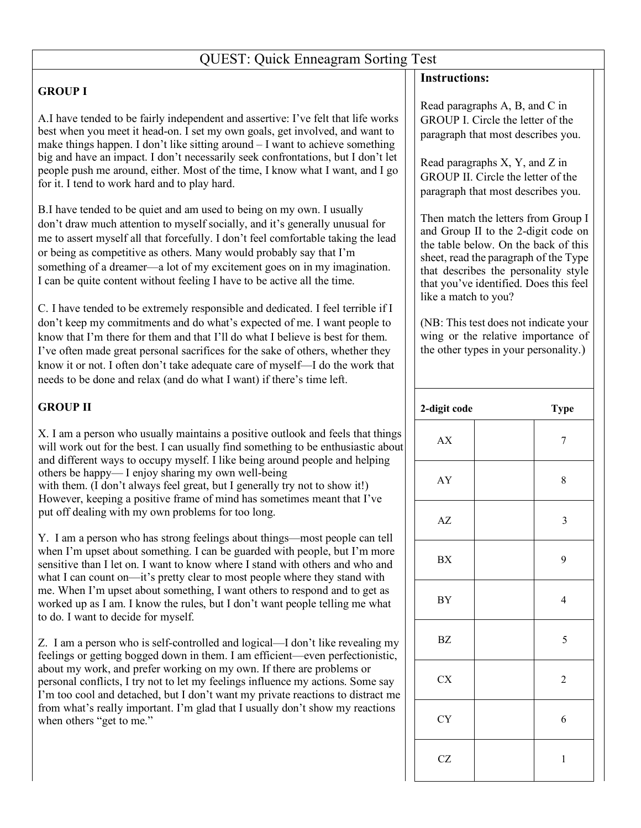## QUEST: Quick Enneagram Sorting Test

## **GROUP I**

A.I have tended to be fairly independent and assertive: I've felt that life works best when you meet it head-on. I set my own goals, get involved, and want to make things happen. I don't like sitting around – I want to achieve something big and have an impact. I don't necessarily seek confrontations, but I don't let people push me around, either. Most of the time, I know what I want, and I go for it. I tend to work hard and to play hard.

B.I have tended to be quiet and am used to being on my own. I usually don't draw much attention to myself socially, and it's generally unusual for me to assert myself all that forcefully. I don't feel comfortable taking the lead or being as competitive as others. Many would probably say that I'm something of a dreamer—a lot of my excitement goes on in my imagination. I can be quite content without feeling I have to be active all the time.

C. I have tended to be extremely responsible and dedicated. I feel terrible if I don't keep my commitments and do what's expected of me. I want people to know that I'm there for them and that I'll do what I believe is best for them. I've often made great personal sacrifices for the sake of others, whether they know it or not. I often don't take adequate care of myself—I do the work that needs to be done and relax (and do what I want) if there's time left.

## **GROUP II**

X. I am a person who usually maintains a positive outlook and feels that things will work out for the best. I can usually find something to be enthusiastic about and different ways to occupy myself. I like being around people and helping others be happy— I enjoy sharing my own well-being with them. (I don't always feel great, but I generally try not to show it!) However, keeping a positive frame of mind has sometimes meant that I've put off dealing with my own problems for too long.

Y. I am a person who has strong feelings about things—most people can tell when I'm upset about something. I can be guarded with people, but I'm more sensitive than I let on. I want to know where I stand with others and who and what I can count on—it's pretty clear to most people where they stand with me. When I'm upset about something, I want others to respond and to get as worked up as I am. I know the rules, but I don't want people telling me what to do. I want to decide for myself.

Z. I am a person who is self-controlled and logical—I don't like revealing my feelings or getting bogged down in them. I am efficient—even perfectionistic, about my work, and prefer working on my own. If there are problems or personal conflicts, I try not to let my feelings influence my actions. Some say I'm too cool and detached, but I don't want my private reactions to distract me from what's really important. I'm glad that I usually don't show my reactions when others "get to me."

## **Instructions:**

Read paragraphs A, B, and C in GROUP I. Circle the letter of the paragraph that most describes you.

Read paragraphs X, Y, and Z in GROUP II. Circle the letter of the paragraph that most describes you.

Then match the letters from Group I and Group II to the 2-digit code on the table below. On the back of this sheet, read the paragraph of the Type that describes the personality style that you've identified. Does this feel like a match to you?

(NB: This test does not indicate your wing or the relative importance of the other types in your personality.)

| 2-digit code           | <b>Type</b>      |
|------------------------|------------------|
| ${\bf A}{\bf X}$       | $\boldsymbol{7}$ |
| ${\rm AY}$             | 8                |
| $\mathbf{A}\mathbf{Z}$ | $\mathfrak{Z}$   |
| ${\rm BX}$             | 9                |
| ${\rm BY}$             | $\overline{4}$   |
| $\mathbf{B}\mathbf{Z}$ | $\sqrt{5}$       |
| CX                     | $\sqrt{2}$       |
| CY                     | 6                |
| CZ                     | $\mathbf{1}$     |